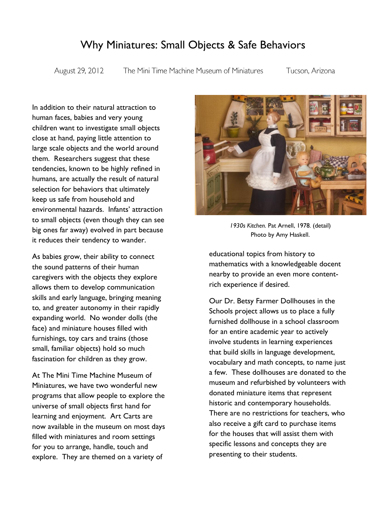## Why Miniatures: Small Objects & Safe Behaviors

August 29, 2012

The Mini Time Machine Museum of Miniatures

Tucson, Arizona

In addition to their natural attraction to human faces, babies and very young children want to investigate small objects close at hand, paying little attention to large scale objects and the world around them. Researchers suggest that these tendencies, known to be highly refined in humans, are actually the result of natural selection for behaviors that ultimately keep us safe from household and environmental hazards. Infants' attraction to small objects (even though they can see big ones far away) evolved in part because it reduces their tendency to wander.

As babies grow, their ability to connect the sound patterns of their human caregivers with the objects they explore allows them to develop communication skills and early language, bringing meaning to, and greater autonomy in their rapidly expanding world. No wonder dolls (the face) and miniature houses filled with furnishings, toy cars and trains (those small, familiar objects) hold so much fascination for children as they grow.

At The Mini Time Machine Museum of Miniatures, we have two wonderful new programs that allow people to explore the universe of small objects first hand for learning and enjoyment. Art Carts are now available in the museum on most days filled with miniatures and room settings for you to arrange, handle, touch and explore. They are themed on a variety of



*1930s Kitchen.* Pat Arnell, 1978*.* (detail) Photo by Amy Haskell.

educational topics from history to mathematics with a knowledgeable docent nearby to provide an even more contentrich experience if desired.

Our Dr. Betsy Farmer Dollhouses in the Schools project allows us to place a fully furnished dollhouse in a school classroom for an entire academic year to actively involve students in learning experiences that build skills in language development, vocabulary and math concepts, to name just a few. These dollhouses are donated to the museum and refurbished by volunteers with donated miniature items that represent historic and contemporary households. There are no restrictions for teachers, who also receive a gift card to purchase items for the houses that will assist them with specific lessons and concepts they are presenting to their students.